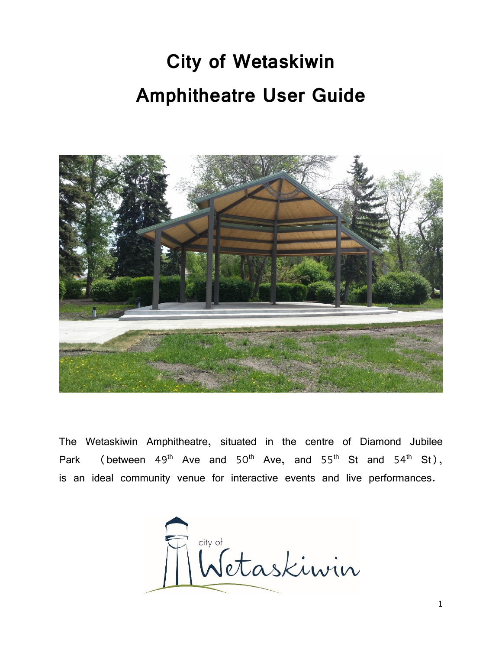# **City of Wetaskiwin Amphitheatre User Guide**



The Wetaskiwin Amphitheatre, situated in the centre of Diamond Jubilee Park (between  $49<sup>th</sup>$  Ave and  $50<sup>th</sup>$  Ave, and  $55<sup>th</sup>$  St and  $54<sup>th</sup>$  St), is an ideal community venue for interactive events and live performances.

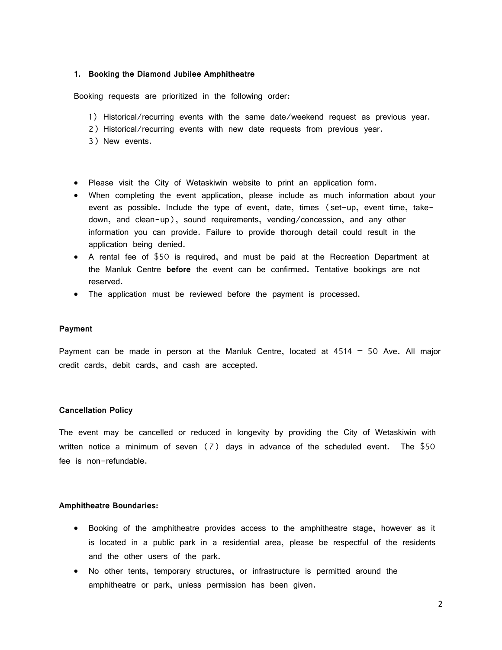## **1. Booking the Diamond Jubilee Amphitheatre**

Booking requests are prioritized in the following order:

- 1) Historical/recurring events with the same date/weekend request as previous year.
- 2) Historical/recurring events with new date requests from previous year.
- 3) New events.
- Please visit the City of Wetaskiwin website to print an application form.
- When completing the event application, please include as much information about your event as possible. Include the type of event, date, times (set-up, event time, takedown, and clean-up), sound requirements, vending/concession, and any other information you can provide. Failure to provide thorough detail could result in the application being denied.
- A rental fee of \$50 is required, and must be paid at the Recreation Department at the Manluk Centre **before** the event can be confirmed. Tentative bookings are not reserved.
- The application must be reviewed before the payment is processed.

#### **Payment**

Payment can be made in person at the Manluk Centre, located at  $4514 - 50$  Ave. All major credit cards, debit cards, and cash are accepted.

## **Cancellation Policy**

The event may be cancelled or reduced in longevity by providing the City of Wetaskiwin with written notice a minimum of seven (7) days in advance of the scheduled event. The \$50 fee is non-refundable.

## **Amphitheatre Boundaries:**

- Booking of the amphitheatre provides access to the amphitheatre stage, however as it is located in a public park in a residential area, please be respectful of the residents and the other users of the park.
- No other tents, temporary structures, or infrastructure is permitted around the amphitheatre or park, unless permission has been given.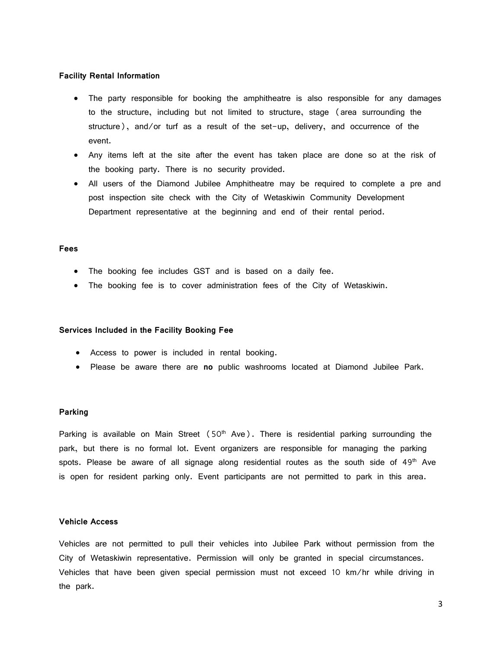#### **Facility Rental Information**

- The party responsible for booking the amphitheatre is also responsible for any damages to the structure, including but not limited to structure, stage (area surrounding the structure), and/or turf as a result of the set-up, delivery, and occurrence of the event.
- Any items left at the site after the event has taken place are done so at the risk of the booking party. There is no security provided.
- All users of the Diamond Jubilee Amphitheatre may be required to complete a pre and post inspection site check with the City of Wetaskiwin Community Development Department representative at the beginning and end of their rental period.

## **Fees**

- The booking fee includes GST and is based on a daily fee.
- The booking fee is to cover administration fees of the City of Wetaskiwin.

#### **Services Included in the Facility Booking Fee**

- Access to power is included in rental booking.
- Please be aware there are **no** public washrooms located at Diamond Jubilee Park.

#### **Parking**

Parking is available on Main Street  $(50<sup>th</sup>$  Ave). There is residential parking surrounding the park, but there is no formal lot. Event organizers are responsible for managing the parking spots. Please be aware of all signage along residential routes as the south side of  $49<sup>th</sup>$  Ave is open for resident parking only. Event participants are not permitted to park in this area.

## **Vehicle Access**

Vehicles are not permitted to pull their vehicles into Jubilee Park without permission from the City of Wetaskiwin representative. Permission will only be granted in special circumstances. Vehicles that have been given special permission must not exceed 10 km/hr while driving in the park.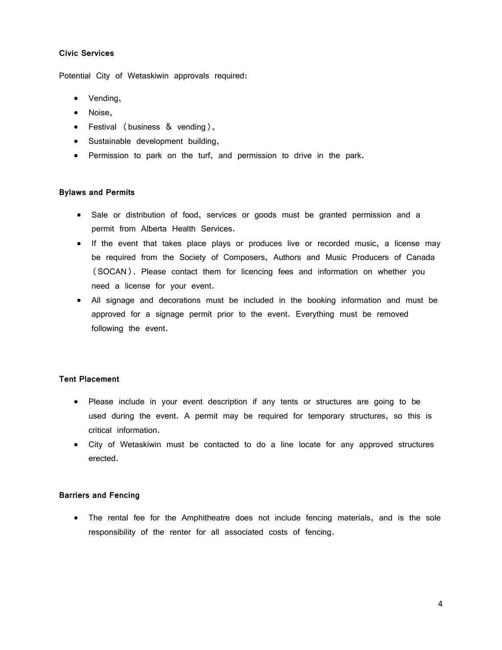# **Civic Services**

Potential City of Wetaskiwin approvals required:

- Vending,
- Noise,
- Festival (business & vending),
- Sustainable development building,
- Permission to park on the turf, and permission to drive in the park.

# **Bylaws and Permits**

- Sale or distribution of food, services or goods must be granted permission and a permit from Alberta Health Services.
- If the event that takes place plays or produces live or recorded music, a license may be required from the Society of Composers, Authors and Music Producers of Canada (SOCAN). Please contact them for licencing fees and information on whether you need a license for your event.
- All signage and decorations must be included in the booking information and must be approved for a signage permit prior to the event. Everything must be removed following the event.

# **Tent Placement**

- Please include in your event description if any tents or structures are going to be used during the event. A permit may be required for temporary structures, so this is critical information.
- City of Wetaskiwin must be contacted to do a line locate for any approved structures erected.

# **Barriers and Fencing**

• The rental fee for the Amphitheatre does not include fencing materials, and is the sole responsibility of the renter for all associated costs of fencing.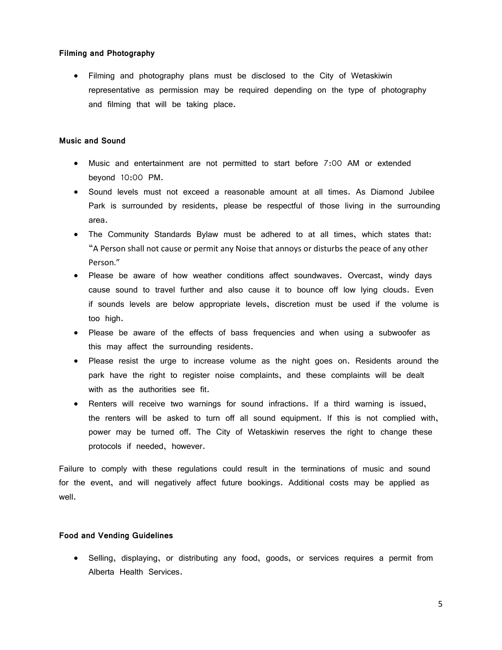## **Filming and Photography**

• Filming and photography plans must be disclosed to the City of Wetaskiwin representative as permission may be required depending on the type of photography and filming that will be taking place.

## **Music and Sound**

- Music and entertainment are not permitted to start before 7:00 AM or extended beyond 10:00 PM.
- Sound levels must not exceed a reasonable amount at all times. As Diamond Jubilee Park is surrounded by residents, please be respectful of those living in the surrounding area.
- The Community Standards Bylaw must be adhered to at all times, which states that: "A Person shall not cause or permit any Noise that annoys or disturbs the peace of any other Person."
- Please be aware of how weather conditions affect soundwaves. Overcast, windy days cause sound to travel further and also cause it to bounce off low lying clouds. Even if sounds levels are below appropriate levels, discretion must be used if the volume is too high.
- Please be aware of the effects of bass frequencies and when using a subwoofer as this may affect the surrounding residents.
- Please resist the urge to increase volume as the night goes on. Residents around the park have the right to register noise complaints, and these complaints will be dealt with as the authorities see fit.
- Renters will receive two warnings for sound infractions. If a third warning is issued, the renters will be asked to turn off all sound equipment. If this is not complied with, power may be turned off. The City of Wetaskiwin reserves the right to change these protocols if needed, however.

Failure to comply with these regulations could result in the terminations of music and sound for the event, and will negatively affect future bookings. Additional costs may be applied as well.

#### **Food and Vending Guidelines**

• Selling, displaying, or distributing any food, goods, or services requires a permit from Alberta Health Services.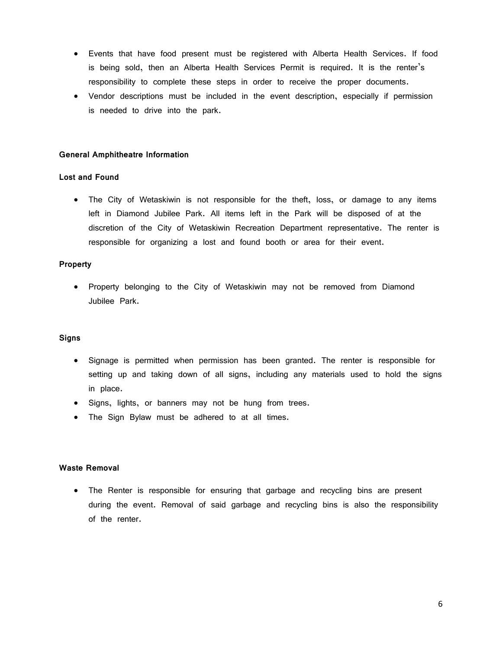- Events that have food present must be registered with Alberta Health Services. If food is being sold, then an Alberta Health Services Permit is required. It is the renter's responsibility to complete these steps in order to receive the proper documents.
- Vendor descriptions must be included in the event description, especially if permission is needed to drive into the park.

## **General Amphitheatre Information**

# **Lost and Found**

• The City of Wetaskiwin is not responsible for the theft, loss, or damage to any items left in Diamond Jubilee Park. All items left in the Park will be disposed of at the discretion of the City of Wetaskiwin Recreation Department representative. The renter is responsible for organizing a lost and found booth or area for their event.

## **Property**

• Property belonging to the City of Wetaskiwin may not be removed from Diamond Jubilee Park.

## **Signs**

- Signage is permitted when permission has been granted. The renter is responsible for setting up and taking down of all signs, including any materials used to hold the signs in place.
- Signs, lights, or banners may not be hung from trees.
- The Sign Bylaw must be adhered to at all times.

#### **Waste Removal**

• The Renter is responsible for ensuring that garbage and recycling bins are present during the event. Removal of said garbage and recycling bins is also the responsibility of the renter.